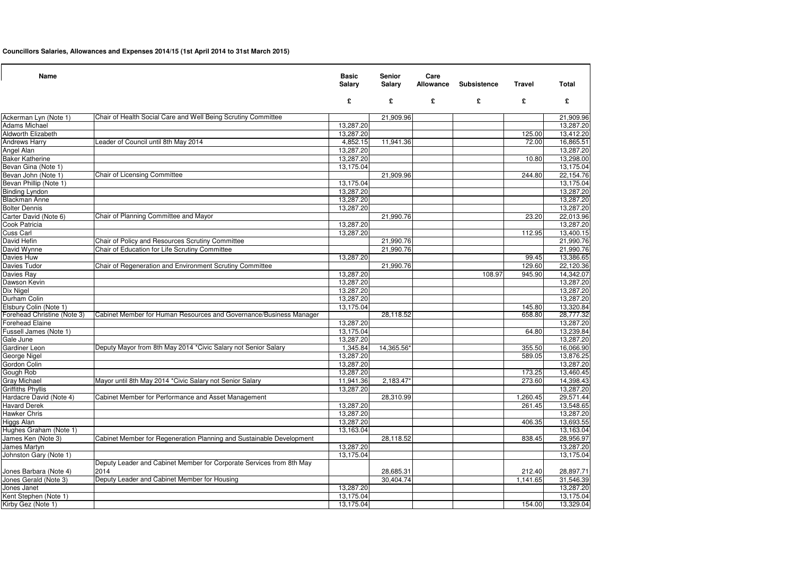# **Councillors Salaries, Allowances and Expenses 2014/15 (1st April 2014 to 31st March 2015)**

| <b>Name</b>                 |                                                                              | <b>Basic</b><br><b>Salary</b> | <b>Senior</b><br><b>Salary</b> | Care<br><b>Allowance</b> | <b>Subsistence</b> | <b>Travel</b> | <b>Total</b> |
|-----------------------------|------------------------------------------------------------------------------|-------------------------------|--------------------------------|--------------------------|--------------------|---------------|--------------|
|                             |                                                                              | £                             | £                              | £                        | £                  | £             | £            |
| Ackerman Lyn (Note 1)       | Chair of Health Social Care and Well Being Scrutiny Committee                |                               | 21,909.96                      |                          |                    |               | 21,909.96    |
| <b>Adams Michael</b>        |                                                                              | 13,287.20                     |                                |                          |                    |               | 13,287.20    |
| <b>Aldworth Elizabeth</b>   |                                                                              | 13,287.20                     |                                |                          |                    | 125.00        | 13,412.20    |
| <b>Andrews Harry</b>        | Leader of Council until 8th May 2014                                         | 4,852.15                      | 11,941.36                      |                          |                    | 72.00         | 16,865.51    |
| Angel Alan                  |                                                                              | 13,287.20                     |                                |                          |                    |               | 13,287.20    |
| <b>Baker Katherine</b>      |                                                                              | 13,287.20                     |                                |                          |                    | 10.80         | 13,298.00    |
| Bevan Gina (Note 1)         |                                                                              | 13,175.04                     |                                |                          |                    |               | 13,175.04    |
| Bevan John (Note 1)         | <b>Chair of Licensing Committee</b>                                          |                               | 21,909.96                      |                          |                    | 244.80        | 22,154.76    |
| Bevan Phillip (Note 1)      |                                                                              | 13,175.04                     |                                |                          |                    |               | 13,175.04    |
| <b>Binding Lyndon</b>       |                                                                              | 13,287.20                     |                                |                          |                    |               | 13,287.20    |
| <b>Blackman Anne</b>        |                                                                              | 13,287.20                     |                                |                          |                    |               | 13,287.20    |
| <b>Bolter Dennis</b>        |                                                                              | 13,287.20                     |                                |                          |                    |               | 13,287.20    |
| Carter David (Note 6)       | Chair of Planning Committee and Mayor                                        |                               | 21,990.76                      |                          |                    | 23.20         | 22,013.96    |
| Cook Patricia               |                                                                              | 13,287.20                     |                                |                          |                    |               | 13,287.20    |
| <b>Cuss Carl</b>            |                                                                              | 13,287.20                     |                                |                          |                    | 112.95        | 13,400.15    |
| David Hefin                 | Chair of Policy and Resources Scrutiny Committee                             |                               | 21,990.76                      |                          |                    |               | 21,990.76    |
| David Wynne                 | Chair of Education for Life Scrutiny Committee                               |                               | 21,990.76                      |                          |                    |               | 21,990.76    |
| Davies Huw                  |                                                                              | 13,287.20                     |                                |                          |                    | 99.45         | 13,386.65    |
| Davies Tudor                | Chair of Regeneration and Environment Scrutiny Committee                     |                               | 21,990.76                      |                          |                    | 129.60        | 22,120.36    |
| Davies Ray                  |                                                                              | 13,287.20                     |                                |                          | 108.97             | 945.90        | 14,342.07    |
| Dawson Kevin                |                                                                              | 13,287.20                     |                                |                          |                    |               | 13,287.20    |
| Dix Nigel                   |                                                                              | 13.287.20                     |                                |                          |                    |               | 13,287.20    |
| Durham Colin                |                                                                              | 13,287.20                     |                                |                          |                    |               | 13,287.20    |
| Elsbury Colin (Note 1)      |                                                                              | 13,175.04                     |                                |                          |                    | 145.80        | 13,320.84    |
| Forehead Christine (Note 3) | Cabinet Member for Human Resources and Governance/Business Manager           |                               | 28,118.52                      |                          |                    | 658.80        | 28,777.32    |
| <b>Forehead Elaine</b>      |                                                                              | 13,287.20                     |                                |                          |                    |               | 13,287.20    |
| Fussell James (Note 1)      |                                                                              | 13,175.04                     |                                |                          |                    | 64.80         | 13,239.84    |
| Gale June                   |                                                                              | 13,287.20                     |                                |                          |                    |               | 13,287.20    |
| <b>Gardiner Leon</b>        | Deputy Mayor from 8th May 2014 *Civic Salary not Senior Salary               | 1,345.84                      | 14,365.56*                     |                          |                    | 355.50        | 16,066.90    |
| George Nigel                |                                                                              | 13,287.20                     |                                |                          |                    | 589.05        | 13,876.25    |
| Gordon Colin                |                                                                              | 13,287.20                     |                                |                          |                    |               | 13,287.20    |
| Gough Rob                   |                                                                              | 13,287.20                     |                                |                          |                    | 173.25        | 13,460.45    |
| <b>Gray Michael</b>         | Mayor until 8th May 2014 *Civic Salary not Senior Salary                     | 11,941.36                     | 2,183.47                       |                          |                    | 273.60        | 14,398.43    |
| <b>Griffiths Phyllis</b>    |                                                                              | 13,287.20                     |                                |                          |                    |               | 13,287.20    |
| Hardacre David (Note 4)     | Cabinet Member for Performance and Asset Management                          |                               | 28,310.99                      |                          |                    | 1,260.45      | 29,571.44    |
| <b>Havard Derek</b>         |                                                                              | 13,287.20                     |                                |                          |                    | 261.45        | 13,548.65    |
| Hawker Chris                |                                                                              | 13,287.20                     |                                |                          |                    |               | 13,287.20    |
| <b>Higgs Alan</b>           |                                                                              | 13,287.20                     |                                |                          |                    | 406.35        | 13,693.55    |
| Hughes Graham (Note 1)      |                                                                              | 13,163.04                     |                                |                          |                    |               | 13,163.04    |
| James Ken (Note 3)          | Cabinet Member for Regeneration Planning and Sustainable Development         |                               | 28,118.52                      |                          |                    | 838.45        | 28,956.97    |
| James Martyn                |                                                                              | 13,287.20                     |                                |                          |                    |               | 13,287.20    |
| Johnston Gary (Note 1)      |                                                                              | 13,175.04                     |                                |                          |                    |               | 13,175.04    |
| Jones Barbara (Note 4)      | Deputy Leader and Cabinet Member for Corporate Services from 8th May<br>2014 |                               | 28,685.31                      |                          |                    | 212.40        | 28,897.71    |
| Jones Gerald (Note 3)       | Deputy Leader and Cabinet Member for Housing                                 |                               | 30,404.74                      |                          |                    | 1,141.65      | 31,546.39    |
| Jones Janet                 |                                                                              | 13,287.20                     |                                |                          |                    |               | 13,287.20    |
| Kent Stephen (Note 1)       |                                                                              | 13,175.04                     |                                |                          |                    |               | 13,175.04    |
| Kirby Gez (Note 1)          |                                                                              | 13,175.04                     |                                |                          |                    | 154.00        | 13,329.04    |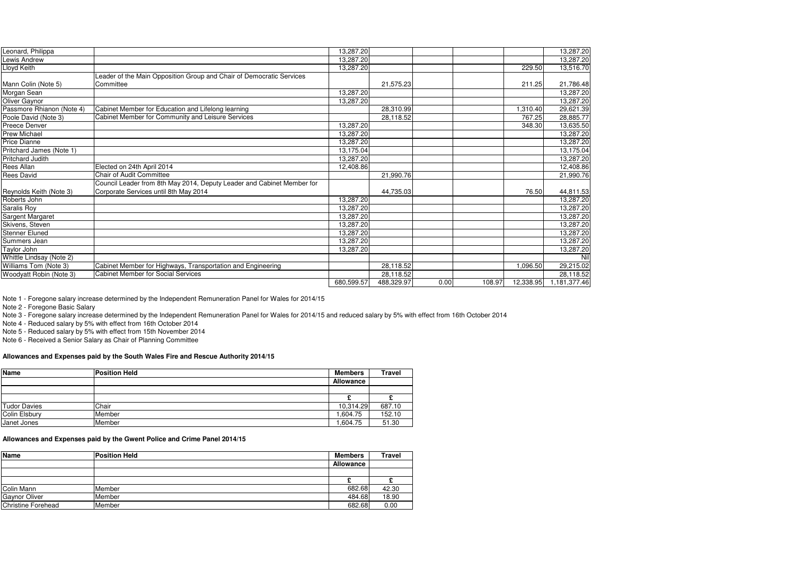| Leonard, Philippa         |                                                                        | 13,287.20  |            |      |        |           | 13,287.20    |
|---------------------------|------------------------------------------------------------------------|------------|------------|------|--------|-----------|--------------|
| Lewis Andrew              |                                                                        | 13,287.20  |            |      |        |           | 13,287.20    |
| Lloyd Keith               |                                                                        | 13,287.20  |            |      |        | 229.50    | 13,516.70    |
|                           | Leader of the Main Opposition Group and Chair of Democratic Services   |            |            |      |        |           |              |
| Mann Colin (Note 5)       | Committee                                                              |            | 21,575.23  |      |        | 211.25    | 21,786.48    |
| Morgan Sean               |                                                                        | 13,287.20  |            |      |        |           | 13,287.20    |
| Oliver Gaynor             |                                                                        | 13,287.20  |            |      |        |           | 13,287.20    |
| Passmore Rhianon (Note 4) | Cabinet Member for Education and Lifelong learning                     |            | 28,310.99  |      |        | 1,310.40  | 29,621.39    |
| Poole David (Note 3)      | Cabinet Member for Community and Leisure Services                      |            | 28,118.52  |      |        | 767.25    | 28,885.77    |
| Preece Denver             |                                                                        | 13,287.20  |            |      |        | 348.30    | 13,635.50    |
| <b>Prew Michael</b>       |                                                                        | 13,287.20  |            |      |        |           | 13,287.20    |
| <b>Price Dianne</b>       |                                                                        | 13,287.20  |            |      |        |           | 13,287.20    |
| Pritchard James (Note 1)  |                                                                        | 13,175.04  |            |      |        |           | 13,175.04    |
| Pritchard Judith          |                                                                        | 13,287.20  |            |      |        |           | 13,287.20    |
| <b>Rees Allan</b>         | Elected on 24th April 2014                                             | 12,408.86  |            |      |        |           | 12,408.86    |
| Rees David                | <b>Chair of Audit Committee</b>                                        |            | 21,990.76  |      |        |           | 21,990.76    |
|                           | Council Leader from 8th May 2014, Deputy Leader and Cabinet Member for |            |            |      |        |           |              |
| Reynolds Keith (Note 3)   | Corporate Services until 8th May 2014                                  |            | 44,735.03  |      |        | 76.50     | 44,811.53    |
| Roberts John              |                                                                        | 13,287.20  |            |      |        |           | 13,287.20    |
| Saralis Roy               |                                                                        | 13,287.20  |            |      |        |           | 13,287.20    |
| Sargent Margaret          |                                                                        | 13,287.20  |            |      |        |           | 13,287.20    |
| Skivens, Steven           |                                                                        | 13,287.20  |            |      |        |           | 13,287.20    |
| <b>Stenner Eluned</b>     |                                                                        | 13,287.20  |            |      |        |           | 13,287.20    |
| Summers Jean              |                                                                        | 13,287.20  |            |      |        |           | 13,287.20    |
| Taylor John               |                                                                        | 13,287.20  |            |      |        |           | 13,287.20    |
| Whittle Lindsay (Note 2)  |                                                                        |            |            |      |        |           | Nil          |
| Williams Tom (Note 3)     | Cabinet Member for Highways, Transportation and Engineering            |            | 28,118.52  |      |        | 1,096.50  | 29,215.02    |
| Woodyatt Robin (Note 3)   | <b>Cabinet Member for Social Services</b>                              |            | 28,118.52  |      |        |           | 28,118.52    |
|                           |                                                                        | 680,599.57 | 488,329.97 | 0.00 | 108.97 | 12,338.95 | 1,181,377.46 |

Note 1 - Foregone salary increase determined by the Independent Remuneration Panel for Wales for 2014/15

Note 2 - Foregone Basic Salary

Note 3 - Foregone salary increase determined by the Independent Remuneration Panel for Wales for 2014/15 and reduced salary by 5% with effect from 16th October 2014

Note 4 - Reduced salary by 5% with effect from 16th October 2014

Note 5 - Reduced salary by 5% with effect from 15th November 2014

Note 6 - Received a Senior Salary as Chair of Planning Committee

#### **Allowances and Expenses paid by the South Wales Fire and Rescue Authority 2014/15**

| Name          | <b>Position Held</b> | <b>Members</b>   | <b>Travel</b> |
|---------------|----------------------|------------------|---------------|
|               |                      | <b>Allowance</b> |               |
|               |                      |                  |               |
|               |                      |                  |               |
| Tudor Davies  | Chair                | 10,314.29        | 687.10        |
| Colin Elsbury | <b>Member</b>        | .604.75          | 152.10        |
| Janet Jones   | Member               | ,604.75          | 51.30         |

#### **Allowances and Expenses paid by the Gwent Police and Crime Panel 2014/15**

| Name                 | <b>Position Held</b> | <b>Members</b>   | <b>Travel</b> |
|----------------------|----------------------|------------------|---------------|
|                      |                      | <b>Allowance</b> |               |
|                      |                      |                  |               |
|                      |                      |                  |               |
| <b>Colin Mann</b>    | Member               | 682.68           | 42.30         |
| <b>Gaynor Oliver</b> | Member               | 484.68           | 18.90         |
| Christine Forehead   | <b>Member</b>        | 682.68           | 0.00          |